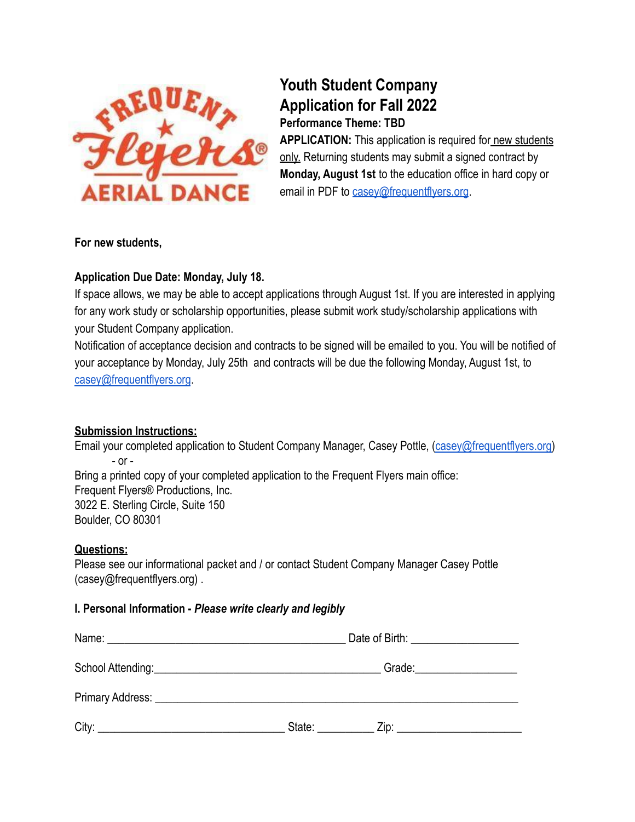

# **Youth Student Company Application for Fall 2022**

**Performance Theme: TBD**

**APPLICATION:** This application is required for new students only. Returning students may submit a signed contract by **Monday, August 1st** to the education office in hard copy or email in PDF to [casey@frequentflyers.org](mailto:casey@frequentflyers.org).

#### **For new students,**

## **Application Due Date: Monday, July 18.**

If space allows, we may be able to accept applications through August 1st. If you are interested in applying for any work study or scholarship opportunities, please submit work study/scholarship applications with your Student Company application.

Notification of acceptance decision and contracts to be signed will be emailed to you. You will be notified of your acceptance by Monday, July 25th and contracts will be due the following Monday, August 1st, to [casey@frequentflyers.org](mailto:casey@frequentflyers.org).

# **Submission Instructions:**

Email your completed application to Student Company Manager, Casey Pottle, ([casey@frequentflyers.org](mailto:casey@frequentflyers.org)) - or - Bring a printed copy of your completed application to the Frequent Flyers main office: Frequent Flyers® Productions, Inc. 3022 E. Sterling Circle, Suite 150 Boulder, CO 80301

#### **Questions:**

Please see our informational packet and / or contact Student Company Manager Casey Pottle (casey@frequentflyers.org) .

#### **I. Personal Information -** *Please write clearly and legibly*

|                                                                                                                | Date of Birth: New York Date of Birth: |                                                                                                                                                                                                                                      |  |
|----------------------------------------------------------------------------------------------------------------|----------------------------------------|--------------------------------------------------------------------------------------------------------------------------------------------------------------------------------------------------------------------------------------|--|
| School Attending: <u>Contact of the School Attending</u>                                                       |                                        | Grade: <u>contract and contract and contract of the second contract of the second contract of the second contract of the second contract of the second contract of the second contract of the second contract of the second cont</u> |  |
| Primary Address: No. 1996. The Contract of the Contract of the Contract of the Contract of the Contract of the |                                        |                                                                                                                                                                                                                                      |  |
| City:<br>the control of the control of the control of the control of the control of the control of             | State:                                 | <u>Zip: _________________________</u>                                                                                                                                                                                                |  |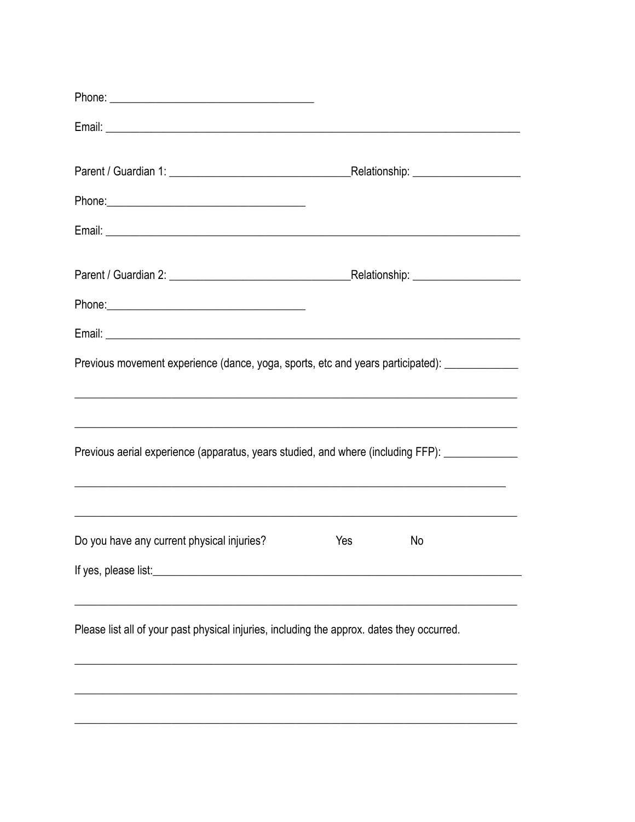| Previous movement experience (dance, yoga, sports, etc and years participated): ______________                       |     |    |  |
|----------------------------------------------------------------------------------------------------------------------|-----|----|--|
|                                                                                                                      |     |    |  |
|                                                                                                                      |     |    |  |
| Previous aerial experience (apparatus, years studied, and where (including FFP): _____________                       |     |    |  |
| <u> 1990 - Jan James James James James James James James James James James James James James James James James J</u> |     |    |  |
| <u> 1989 - Johann Stoff, amerikansk politiker (d. 1989)</u><br>Do you have any current physical injuries?            | Yes | No |  |
| If yes, please list:                                                                                                 |     |    |  |
|                                                                                                                      |     |    |  |
| Please list all of your past physical injuries, including the approx. dates they occurred.                           |     |    |  |
|                                                                                                                      |     |    |  |
|                                                                                                                      |     |    |  |
|                                                                                                                      |     |    |  |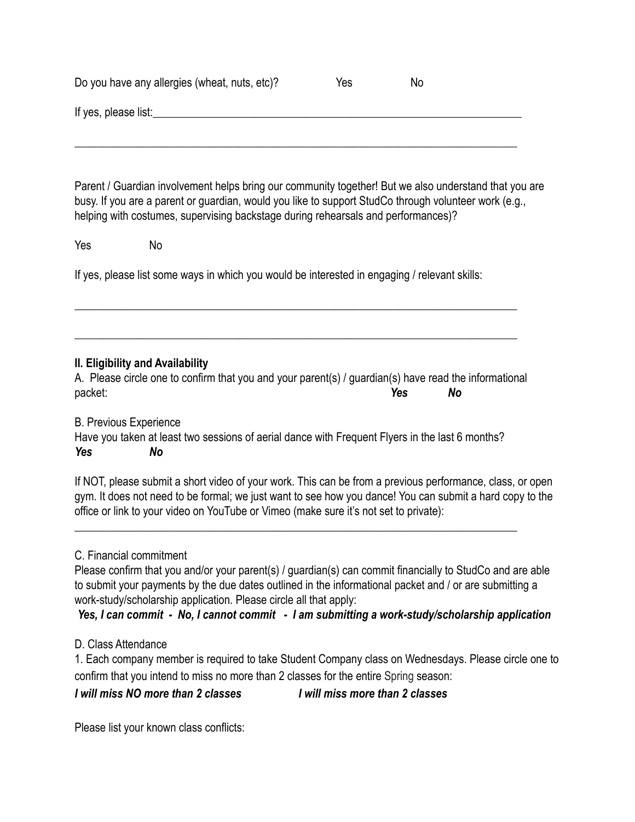|                      | Do you have any allergies (wheat, nuts, etc)?                                                                                                                                                                                                                                                       | Yes | No |  |
|----------------------|-----------------------------------------------------------------------------------------------------------------------------------------------------------------------------------------------------------------------------------------------------------------------------------------------------|-----|----|--|
| If yes, please list: |                                                                                                                                                                                                                                                                                                     |     |    |  |
|                      |                                                                                                                                                                                                                                                                                                     |     |    |  |
|                      | Parent / Guardian involvement helps bring our community together! But we also understand that you are<br>busy. If you are a parent or guardian, would you like to support StudCo through volunteer work (e.g.,<br>helping with costumes, supervising backstage during rehearsals and performances)? |     |    |  |
| Yes                  | No                                                                                                                                                                                                                                                                                                  |     |    |  |
|                      | If yes, please list some ways in which you would be interested in engaging / relevant skills:                                                                                                                                                                                                       |     |    |  |

#### **II. Eligibility and Availability**

A. Please circle one to confirm that you and your parent(s) / guardian(s) have read the informational packet: *Yes No*

\_\_\_\_\_\_\_\_\_\_\_\_\_\_\_\_\_\_\_\_\_\_\_\_\_\_\_\_\_\_\_\_\_\_\_\_\_\_\_\_\_\_\_\_\_\_\_\_\_\_\_\_\_\_\_\_\_\_\_\_\_\_\_\_\_\_\_\_\_\_\_\_\_\_\_\_\_\_

\_\_\_\_\_\_\_\_\_\_\_\_\_\_\_\_\_\_\_\_\_\_\_\_\_\_\_\_\_\_\_\_\_\_\_\_\_\_\_\_\_\_\_\_\_\_\_\_\_\_\_\_\_\_\_\_\_\_\_\_\_\_\_\_\_\_\_\_\_\_\_\_\_\_\_\_\_\_

B. Previous Experience Have you taken at least two sessions of aerial dance with Frequent Flyers in the last 6 months? *Yes No*

If NOT, please submit a short video of your work. This can be from a previous performance, class, or open gym. It does not need to be formal; we just want to see how you dance! You can submit a hard copy to the office or link to your video on YouTube or Vimeo (make sure it's not set to private):

\_\_\_\_\_\_\_\_\_\_\_\_\_\_\_\_\_\_\_\_\_\_\_\_\_\_\_\_\_\_\_\_\_\_\_\_\_\_\_\_\_\_\_\_\_\_\_\_\_\_\_\_\_\_\_\_\_\_\_\_\_\_\_\_\_\_\_\_\_\_\_\_\_\_\_\_\_\_

#### C. Financial commitment

Please confirm that you and/or your parent(s) / guardian(s) can commit financially to StudCo and are able to submit your payments by the due dates outlined in the informational packet and / or are submitting a work-study/scholarship application. Please circle all that apply:

*Yes, I can commit - No, I cannot commit - I am submitting a work-study/scholarship application*

# D. Class Attendance

1. Each company member is required to take Student Company class on Wednesdays. Please circle one to confirm that you intend to miss no more than 2 classes for the entire Spring season:

*I will miss NO more than 2 classes I will miss more than 2 classes*

Please list your known class conflicts: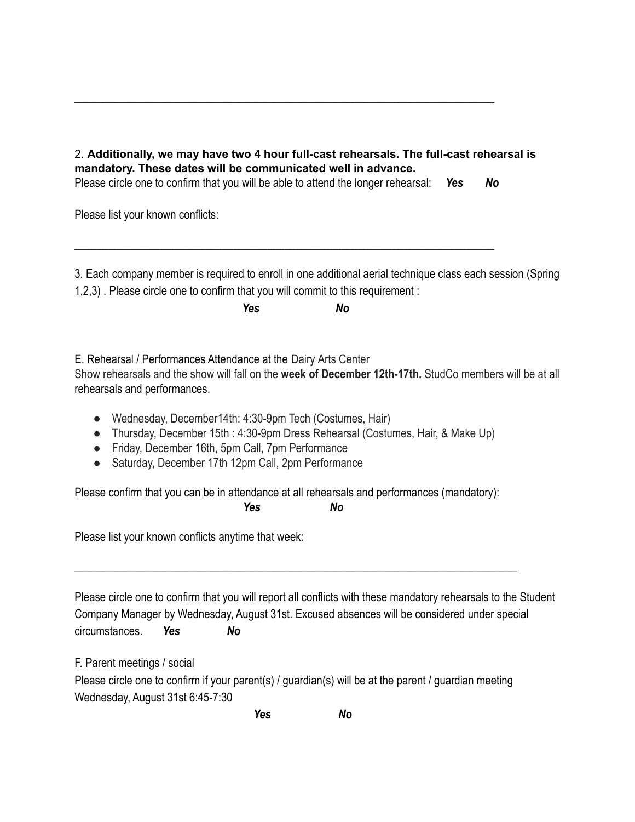2. **Additionally, we may have two 4 hour full-cast rehearsals. The full-cast rehearsal is mandatory. These dates will be communicated well in advance.**

Please circle one to confirm that you will be able to attend the longer rehearsal: *Yes No*

\_\_\_\_\_\_\_\_\_\_\_\_\_\_\_\_\_\_\_\_\_\_\_\_\_\_\_\_\_\_\_\_\_\_\_\_\_\_\_\_\_\_\_\_\_\_\_\_\_\_\_\_\_\_\_\_\_\_\_\_\_\_\_\_\_\_\_\_\_\_\_\_\_\_

\_\_\_\_\_\_\_\_\_\_\_\_\_\_\_\_\_\_\_\_\_\_\_\_\_\_\_\_\_\_\_\_\_\_\_\_\_\_\_\_\_\_\_\_\_\_\_\_\_\_\_\_\_\_\_\_\_\_\_\_\_\_\_\_\_\_\_\_\_\_\_\_\_\_

Please list your known conflicts:

3. Each company member is required to enroll in one additional aerial technique class each session (Spring 1,2,3) . Please circle one to confirm that you will commit to this requirement :

*Yes No*

E. Rehearsal / Performances Attendance at the Dairy Arts Center

Show rehearsals and the show will fall on the **week of December 12th-17th.** StudCo members will be at all rehearsals and performances.

- Wednesday, December14th: 4:30-9pm Tech (Costumes, Hair)
- Thursday, December 15th : 4:30-9pm Dress Rehearsal (Costumes, Hair, & Make Up)
- Friday, December 16th, 5pm Call, 7pm Performance
- Saturday, December 17th 12pm Call, 2pm Performance

Please confirm that you can be in attendance at all rehearsals and performances (mandatory): *Yes No*

\_\_\_\_\_\_\_\_\_\_\_\_\_\_\_\_\_\_\_\_\_\_\_\_\_\_\_\_\_\_\_\_\_\_\_\_\_\_\_\_\_\_\_\_\_\_\_\_\_\_\_\_\_\_\_\_\_\_\_\_\_\_\_\_\_\_\_\_\_\_\_\_\_\_\_\_\_\_

Please list your known conflicts anytime that week:

Please circle one to confirm that you will report all conflicts with these mandatory rehearsals to the Student Company Manager by Wednesday, August 31st. Excused absences will be considered under special circumstances. *Yes No*

F. Parent meetings / social

Please circle one to confirm if your parent(s) / guardian(s) will be at the parent / guardian meeting Wednesday, August 31st 6:45-7:30

*Yes No*